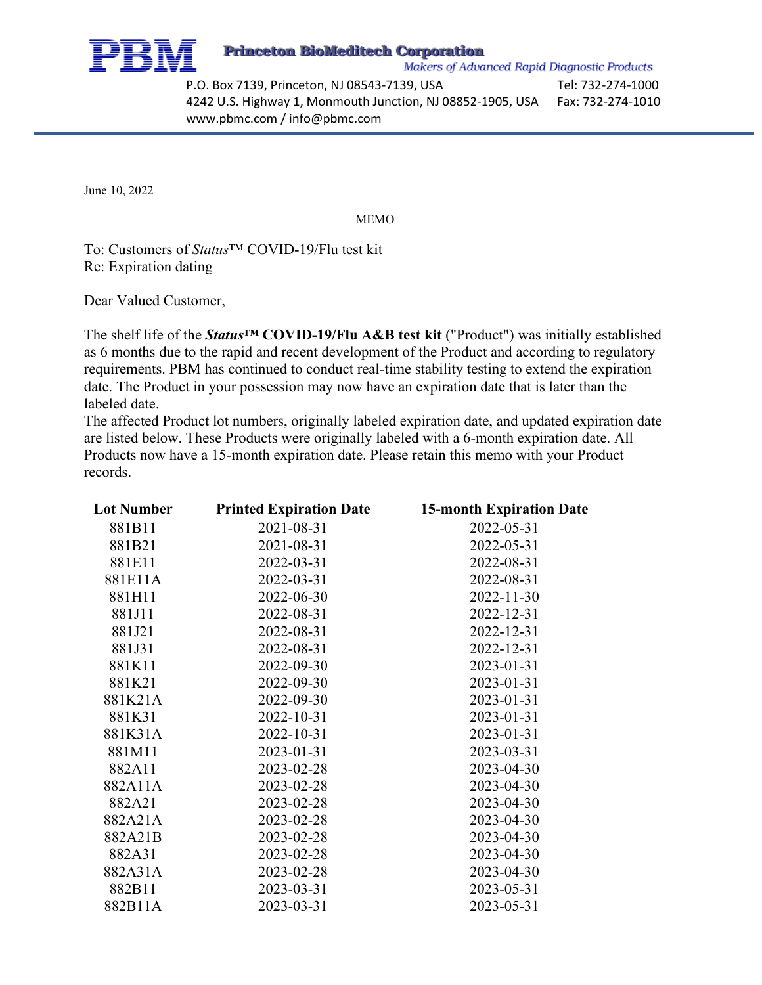

 P.O. Box 7139, Princeton, NJ 08543-7139, USA Tel: 732-274-1000 4242 U.S. Highway 1, Monmouth Junction, NJ 08852-1905, USA Fax: 732-274-1010 www.pbmc.com / info@pbmc.com

June 10, 2022

MEMO

To: Customers of *Status*™ COVID-19/Flu test kit Re: Expiration dating

Dear Valued Customer,

The shelf life of the *Status***™ COVID-19/Flu A&B test kit** ("Product") was initially established as 6 months due to the rapid and recent development of the Product and according to regulatory requirements. PBM has continued to conduct real-time stability testing to extend the expiration date. The Product in your possession may now have an expiration date that is later than the labeled date.

The affected Product lot numbers, originally labeled expiration date, and updated expiration date are listed below. These Products were originally labeled with a 6-month expiration date. All Products now have a 15-month expiration date. Please retain this memo with your Product records.

| <b>Lot Number</b> | <b>Printed Expiration Date</b> | <b>15-month Expiration Date</b> |
|-------------------|--------------------------------|---------------------------------|
| 881B11            | 2021-08-31                     | 2022-05-31                      |
| 881B21            | 2021-08-31                     | 2022-05-31                      |
| 881E11            | 2022-03-31                     | 2022-08-31                      |
| 881E11A           | 2022-03-31                     | 2022-08-31                      |
| 881H11            | 2022-06-30                     | $2022 - 11 - 30$                |
| 881J11            | 2022-08-31                     | 2022-12-31                      |
| 881J21            | 2022-08-31                     | 2022-12-31                      |
| 881J31            | 2022-08-31                     | 2022-12-31                      |
| 881K11            | 2022-09-30                     | 2023-01-31                      |
| 881K21            | 2022-09-30                     | 2023-01-31                      |
| 881K21A           | 2022-09-30                     | 2023-01-31                      |
| 881K31            | 2022-10-31                     | 2023-01-31                      |
| 881K31A           | 2022-10-31                     | 2023-01-31                      |
| 881M11            | 2023-01-31                     | 2023-03-31                      |
| 882A11            | 2023-02-28                     | 2023-04-30                      |
| 882A11A           | 2023-02-28                     | 2023-04-30                      |
| 882A21            | 2023-02-28                     | 2023-04-30                      |
| 882A21A           | 2023-02-28                     | 2023-04-30                      |
| 882A21B           | 2023-02-28                     | 2023-04-30                      |
| 882A31            | 2023-02-28                     | 2023-04-30                      |
| 882A31A           | 2023-02-28                     | 2023-04-30                      |
| 882B11            | 2023-03-31                     | 2023-05-31                      |
| 882B11A           | 2023-03-31                     | 2023-05-31                      |